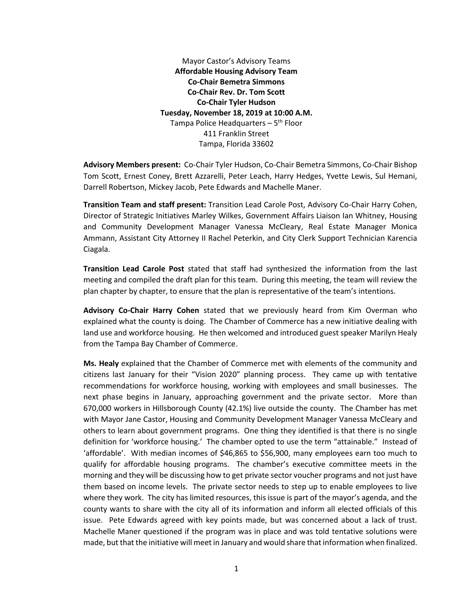Mayor Castor's Advisory Teams **Affordable Housing Advisory Team Co-Chair Bemetra Simmons Co-Chair Rev. Dr. Tom Scott Co-Chair Tyler Hudson Tuesday, November 18, 2019 at 10:00 A.M.** Tampa Police Headquarters – 5<sup>th</sup> Floor 411 Franklin Street Tampa, Florida 33602

**Advisory Members present:** Co-Chair Tyler Hudson, Co-Chair Bemetra Simmons, Co-Chair Bishop Tom Scott, Ernest Coney, Brett Azzarelli, Peter Leach, Harry Hedges, Yvette Lewis, Sul Hemani, Darrell Robertson, Mickey Jacob, Pete Edwards and Machelle Maner.

**Transition Team and staff present:** Transition Lead Carole Post, Advisory Co-Chair Harry Cohen, Director of Strategic Initiatives Marley Wilkes, Government Affairs Liaison Ian Whitney, Housing and Community Development Manager Vanessa McCleary, Real Estate Manager Monica Ammann, Assistant City Attorney II Rachel Peterkin, and City Clerk Support Technician Karencia Ciagala.

**Transition Lead Carole Post** stated that staff had synthesized the information from the last meeting and compiled the draft plan for this team. During this meeting, the team will review the plan chapter by chapter, to ensure that the plan is representative of the team's intentions.

**Advisory Co-Chair Harry Cohen** stated that we previously heard from Kim Overman who explained what the county is doing. The Chamber of Commerce has a new initiative dealing with land use and workforce housing. He then welcomed and introduced guest speaker Marilyn Healy from the Tampa Bay Chamber of Commerce.

**Ms. Healy** explained that the Chamber of Commerce met with elements of the community and citizens last January for their "Vision 2020" planning process. They came up with tentative recommendations for workforce housing, working with employees and small businesses. The next phase begins in January, approaching government and the private sector. More than 670,000 workers in Hillsborough County (42.1%) live outside the county. The Chamber has met with Mayor Jane Castor, Housing and Community Development Manager Vanessa McCleary and others to learn about government programs. One thing they identified is that there is no single definition for 'workforce housing.' The chamber opted to use the term "attainable." Instead of 'affordable'. With median incomes of \$46,865 to \$56,900, many employees earn too much to qualify for affordable housing programs. The chamber's executive committee meets in the morning and they will be discussing how to get private sector voucher programs and not just have them based on income levels. The private sector needs to step up to enable employees to live where they work. The city has limited resources, this issue is part of the mayor's agenda, and the county wants to share with the city all of its information and inform all elected officials of this issue. Pete Edwards agreed with key points made, but was concerned about a lack of trust. Machelle Maner questioned if the program was in place and was told tentative solutions were made, but that the initiative will meet in January and would share that information when finalized.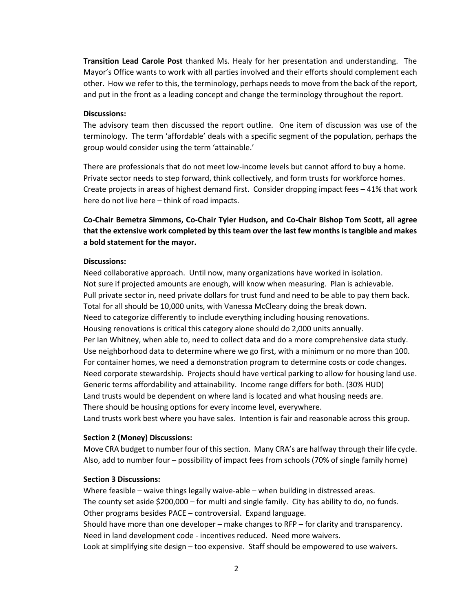**Transition Lead Carole Post** thanked Ms. Healy for her presentation and understanding. The Mayor's Office wants to work with all parties involved and their efforts should complement each other. How we refer to this, the terminology, perhaps needs to move from the back of the report, and put in the front as a leading concept and change the terminology throughout the report.

## **Discussions:**

The advisory team then discussed the report outline. One item of discussion was use of the terminology. The term 'affordable' deals with a specific segment of the population, perhaps the group would consider using the term 'attainable.'

There are professionals that do not meet low-income levels but cannot afford to buy a home. Private sector needs to step forward, think collectively, and form trusts for workforce homes. Create projects in areas of highest demand first. Consider dropping impact fees – 41% that work here do not live here – think of road impacts.

**Co-Chair Bemetra Simmons, Co-Chair Tyler Hudson, and Co-Chair Bishop Tom Scott, all agree that the extensive work completed by this team over the last few months is tangible and makes a bold statement for the mayor.**

### **Discussions:**

Need collaborative approach. Until now, many organizations have worked in isolation. Not sure if projected amounts are enough, will know when measuring. Plan is achievable. Pull private sector in, need private dollars for trust fund and need to be able to pay them back. Total for all should be 10,000 units, with Vanessa McCleary doing the break down. Need to categorize differently to include everything including housing renovations. Housing renovations is critical this category alone should do 2,000 units annually. Per Ian Whitney, when able to, need to collect data and do a more comprehensive data study. Use neighborhood data to determine where we go first, with a minimum or no more than 100. For container homes, we need a demonstration program to determine costs or code changes. Need corporate stewardship. Projects should have vertical parking to allow for housing land use. Generic terms affordability and attainability. Income range differs for both. (30% HUD) Land trusts would be dependent on where land is located and what housing needs are. There should be housing options for every income level, everywhere. Land trusts work best where you have sales. Intention is fair and reasonable across this group.

## **Section 2 (Money) Discussions:**

Move CRA budget to number four of this section. Many CRA's are halfway through their life cycle. Also, add to number four – possibility of impact fees from schools (70% of single family home)

### **Section 3 Discussions:**

Where feasible – waive things legally waive-able – when building in distressed areas. The county set aside \$200,000 – for multi and single family. City has ability to do, no funds. Other programs besides PACE – controversial. Expand language.

Should have more than one developer – make changes to RFP – for clarity and transparency. Need in land development code - incentives reduced. Need more waivers.

Look at simplifying site design – too expensive. Staff should be empowered to use waivers.